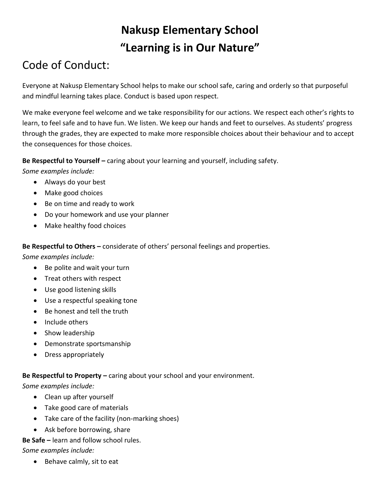# **Nakusp Elementary School "Learning is in Our Nature"**

# Code of Conduct:

Everyone at Nakusp Elementary School helps to make our school safe, caring and orderly so that purposeful and mindful learning takes place. Conduct is based upon respect.

We make everyone feel welcome and we take responsibility for our actions. We respect each other's rights to learn, to feel safe and to have fun. We listen. We keep our hands and feet to ourselves. As students' progress through the grades, they are expected to make more responsible choices about their behaviour and to accept the consequences for those choices.

**Be Respectful to Yourself –** caring about your learning and yourself, including safety.

*Some examples include:*

- Always do your best
- Make good choices
- Be on time and ready to work
- Do your homework and use your planner
- Make healthy food choices

**Be Respectful to Others –** considerate of others' personal feelings and properties.

*Some examples include:*

- Be polite and wait your turn
- Treat others with respect
- Use good listening skills
- Use a respectful speaking tone
- Be honest and tell the truth
- Include others
- Show leadership
- Demonstrate sportsmanship
- Dress appropriately

## **Be Respectful to Property –** caring about your school and your environment.

*Some examples include:*

- Clean up after yourself
- Take good care of materials
- Take care of the facility (non-marking shoes)
- Ask before borrowing, share

## **Be Safe –** learn and follow school rules.

*Some examples include:*

• Behave calmly, sit to eat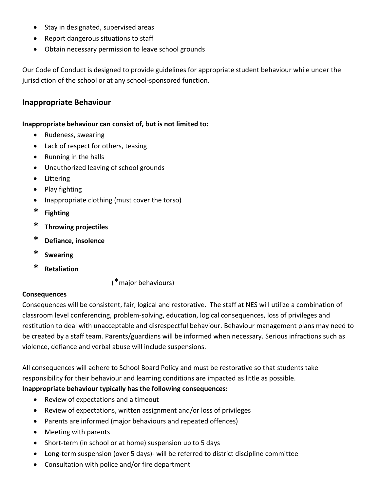- Stay in designated, supervised areas
- Report dangerous situations to staff
- Obtain necessary permission to leave school grounds

Our Code of Conduct is designed to provide guidelines for appropriate student behaviour while under the jurisdiction of the school or at any school-sponsored function.

## **Inappropriate Behaviour**

#### **Inappropriate behaviour can consist of, but is not limited to:**

- Rudeness, swearing
- Lack of respect for others, teasing
- Running in the halls
- Unauthorized leaving of school grounds
- Littering
- Play fighting
- Inappropriate clothing (must cover the torso)
- **\* Fighting**
- **\* Throwing projectiles**
- **\* Defiance, insolence**
- **\* Swearing**
- **\* Retaliation**

(\*major behaviours)

### **Consequences**

Consequences will be consistent, fair, logical and restorative. The staff at NES will utilize a combination of classroom level conferencing, problem-solving, education, logical consequences, loss of privileges and restitution to deal with unacceptable and disrespectful behaviour. Behaviour management plans may need to be created by a staff team. Parents/guardians will be informed when necessary. Serious infractions such as violence, defiance and verbal abuse will include suspensions.

All consequences will adhere to School Board Policy and must be restorative so that students take responsibility for their behaviour and learning conditions are impacted as little as possible.

### **Inappropriate behaviour typically has the following consequences:**

- Review of expectations and a timeout
- Review of expectations, written assignment and/or loss of privileges
- Parents are informed (major behaviours and repeated offences)
- Meeting with parents
- Short-term (in school or at home) suspension up to 5 days
- Long-term suspension (over 5 days)- will be referred to district discipline committee
- Consultation with police and/or fire department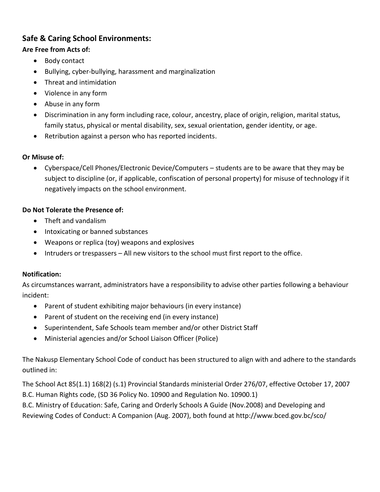## **Safe & Caring School Environments:**

## **Are Free from Acts of:**

- Body contact
- Bullying, cyber-bullying, harassment and marginalization
- Threat and intimidation
- Violence in any form
- Abuse in any form
- Discrimination in any form including race, colour, ancestry, place of origin, religion, marital status, family status, physical or mental disability, sex, sexual orientation, gender identity, or age.
- Retribution against a person who has reported incidents.

## **Or Misuse of:**

 Cyberspace/Cell Phones/Electronic Device/Computers – students are to be aware that they may be subject to discipline (or, if applicable, confiscation of personal property) for misuse of technology if it negatively impacts on the school environment.

## **Do Not Tolerate the Presence of:**

- Theft and vandalism
- Intoxicating or banned substances
- Weapons or replica (toy) weapons and explosives
- Intruders or trespassers All new visitors to the school must first report to the office.

### **Notification:**

As circumstances warrant, administrators have a responsibility to advise other parties following a behaviour incident:

- Parent of student exhibiting major behaviours (in every instance)
- Parent of student on the receiving end (in every instance)
- Superintendent, Safe Schools team member and/or other District Staff
- Ministerial agencies and/or School Liaison Officer (Police)

The Nakusp Elementary School Code of conduct has been structured to align with and adhere to the standards outlined in:

The School Act 85(1.1) 168(2) (s.1) Provincial Standards ministerial Order 276/07, effective October 17, 2007 B.C. Human Rights code, (SD 36 Policy No. 10900 and Regulation No. 10900.1)

B.C. Ministry of Education: Safe, Caring and Orderly Schools A Guide (Nov.2008) and Developing and Reviewing Codes of Conduct: A Companion (Aug. 2007), both found at http://www.bced.gov.bc/sco/